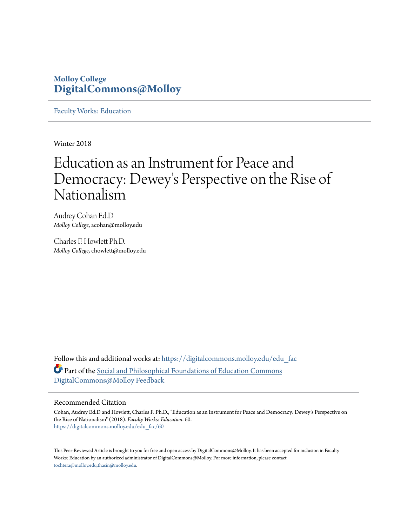## **Molloy College [DigitalCommons@Molloy](https://digitalcommons.molloy.edu?utm_source=digitalcommons.molloy.edu%2Fedu_fac%2F60&utm_medium=PDF&utm_campaign=PDFCoverPages)**

[Faculty Works: Education](https://digitalcommons.molloy.edu/edu_fac?utm_source=digitalcommons.molloy.edu%2Fedu_fac%2F60&utm_medium=PDF&utm_campaign=PDFCoverPages)

Winter 2018

# Education as an Instrument for Peace and Democracy: Dewey 's Perspective on the Rise of Nationalism

Audrey Cohan Ed.D *Molloy College*, acohan@molloy.edu

Charles F. Howlett Ph.D. *Molloy College*, chowlett@molloy.edu

Follow this and additional works at: [https://digitalcommons.molloy.edu/edu\\_fac](https://digitalcommons.molloy.edu/edu_fac?utm_source=digitalcommons.molloy.edu%2Fedu_fac%2F60&utm_medium=PDF&utm_campaign=PDFCoverPages) Part of the [Social and Philosophical Foundations of Education Commons](http://network.bepress.com/hgg/discipline/799?utm_source=digitalcommons.molloy.edu%2Fedu_fac%2F60&utm_medium=PDF&utm_campaign=PDFCoverPages) [DigitalCommons@Molloy Feedback](http://molloycollegelibrary.com/machform/view.php?id=6801)

#### Recommended Citation

Cohan, Audrey Ed.D and Howlett, Charles F. Ph.D., "Education as an Instrument for Peace and Democracy: Dewey's Perspective on the Rise of Nationalism" (2018). *Faculty Works: Education*. 60. [https://digitalcommons.molloy.edu/edu\\_fac/60](https://digitalcommons.molloy.edu/edu_fac/60?utm_source=digitalcommons.molloy.edu%2Fedu_fac%2F60&utm_medium=PDF&utm_campaign=PDFCoverPages)

This Peer-Reviewed Article is brought to you for free and open access by DigitalCommons@Molloy. It has been accepted for inclusion in Faculty Works: Education by an authorized administrator of DigitalCommons@Molloy. For more information, please contact [tochtera@molloy.edu,thasin@molloy.edu](mailto:tochtera@molloy.edu,thasin@molloy.edu).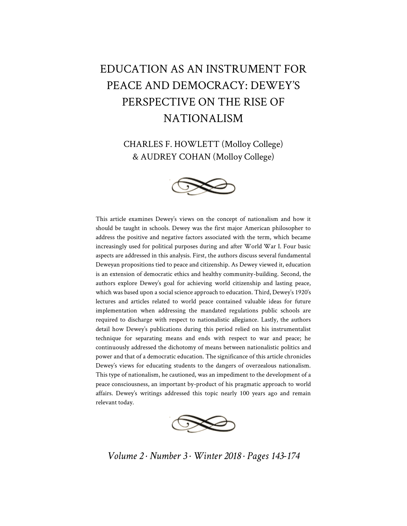## EDUCATION AS AN INSTRUMENT FOR PEACE AND DEMOCRACY: DEWEY'S PERSPECTIVE ON THE RISE OF NATIONALISM

CHARLES F. HOWLETT (Molloy College) & AUDREY COHAN (Molloy College)



This article examines Dewey's views on the concept of nationalism and how it should be taught in schools. Dewey was the first major American philosopher to address the positive and negative factors associated with the term, which became increasingly used for political purposes during and after World War I. Four basic aspects are addressed in this analysis. First, the authors discuss several fundamental Deweyan propositions tied to peace and citizenship. As Dewey viewed it, education is an extension of democratic ethics and healthy community-building. Second, the authors explore Dewey's goal for achieving world citizenship and lasting peace, which was based upon a social science approach to education. Third, Dewey's 1920's lectures and articles related to world peace contained valuable ideas for future implementation when addressing the mandated regulations public schools are required to discharge with respect to nationalistic allegiance. Lastly, the authors detail how Dewey's publications during this period relied on his instrumentalist technique for separating means and ends with respect to war and peace; he continuously addressed the dichotomy of means between nationalistic politics and power and that of a democratic education. The significance of this article chronicles Dewey's views for educating students to the dangers of overzealous nationalism. This type of nationalism, he cautioned, was an impediment to the development of a peace consciousness, an important by-product of his pragmatic approach to world affairs. Dewey's writings addressed this topic nearly 100 years ago and remain relevant today.



*Volume 2 · Number 3 · Winter 2018 · Pages 143-174*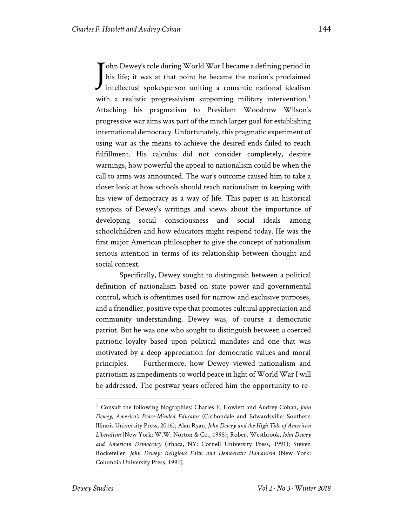ohn Dewey's role during World War I became a defining period in his life; it was at that point he became the nation's proclaimed John Dewey's role during World War I became a defining period in<br>his life; it was at that point he became the nation's proclaimed<br>intellectual spokesperson uniting a romantic national idealism with a realistic progressivism supporting military intervention.<sup>1</sup> Attaching his pragmatism to President Woodrow Wilson's progressive war aims was part of the much larger goal for establishing international democracy. Unfortunately, this pragmatic experiment of using war as the means to achieve the desired ends failed to reach fulfillment. His calculus did not consider completely, despite warnings, how powerful the appeal to nationalism could be when the call to arms was announced. The war's outcome caused him to take a closer look at how schools should teach nationalism in keeping with his view of democracy as a way of life. This paper is an historical synopsis of Dewey's writings and views about the importance of developing social consciousness and social ideals among schoolchildren and how educators might respond today. He was the first major American philosopher to give the concept of nationalism serious attention in terms of its relationship between thought and social context.

Specifically, Dewey sought to distinguish between a political definition of nationalism based on state power and governmental control, which is oftentimes used for narrow and exclusive purposes, and a friendlier, positive type that promotes cultural appreciation and community understanding. Dewey was, of course a democratic patriot. But he was one who sought to distinguish between a coerced patriotic loyalty based upon political mandates and one that was motivated by a deep appreciation for democratic values and moral principles. Furthermore, how Dewey viewed nationalism and patriotism as impediments to world peace in light of World War I will be addressed. The postwar years offered him the opportunity to re-

 <sup>1</sup> Consult the following biographies: Charles F. Howlett and Audrey Cohan, *John Dewey, America's Peace-Minded Educator* (Carbondale and Edwardsville: Southern Illinois University Press, 2016); Alan Ryan, *John Dewey and the High Tide of American Liberalism* (New York: W.W. Norton & Co., 1995); Robert Westbrook, *John Dewey and American Democracy* (Ithaca, NY: Cornell University Press, 1991); Steven Rockefeller, *John Dewey: Religious Faith and Democratic Humanism* (New York: Columbia University Press, 1991).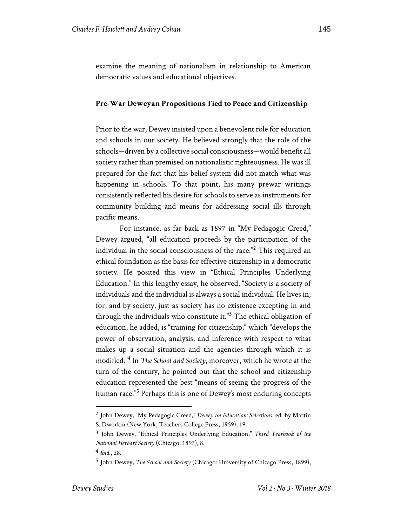examine the meaning of nationalism in relationship to American democratic values and educational objectives.

## **Pre-War Deweyan Propositions Tied to Peace and Citizenship**

Prior to the war, Dewey insisted upon a benevolent role for education and schools in our society. He believed strongly that the role of the schools—driven by a collective social consciousness—would benefit all society rather than premised on nationalistic righteousness. He was ill prepared for the fact that his belief system did not match what was happening in schools. To that point, his many prewar writings consistently reflected his desire for schools to serve as instruments for community building and means for addressing social ills through pacific means.

For instance, as far back as 1897 in "My Pedagogic Creed," Dewey argued, "all education proceeds by the participation of the individual in the social consciousness of the race.<sup>"2</sup> This required an ethical foundation as the basis for effective citizenship in a democratic society. He posited this view in "Ethical Principles Underlying Education." In this lengthy essay, he observed, "Society is a society of individuals and the individual is always a social individual. He lives in, for, and by society, just as society has no existence excepting in and through the individuals who constitute it."<sup>3</sup> The ethical obligation of education, he added, is "training for citizenship," which "develops the power of observation, analysis, and inference with respect to what makes up a social situation and the agencies through which it is modified."<sup>4</sup> In *The School and Society*, moreover, which he wrote at the turn of the century, he pointed out that the school and citizenship education represented the best "means of seeing the progress of the human race."<sup>5</sup> Perhaps this is one of Dewey's most enduring concepts

 <sup>2</sup> John Dewey, "My Pedagogic Creed," *Dewey on Education: Selections*, ed. by Martin S. Dworkin (New York; Teachers College Press, 1959), 19.

<sup>3</sup> John Dewey, "Ethical Principles Underlying Education," *Third Yearbook of the National Herbart Society* (Chicago, 1897), 8.

<sup>4</sup> *Ibid*., 28.

<sup>5</sup> John Dewey, *The School and Society* (Chicago: University of Chicago Press, 1899),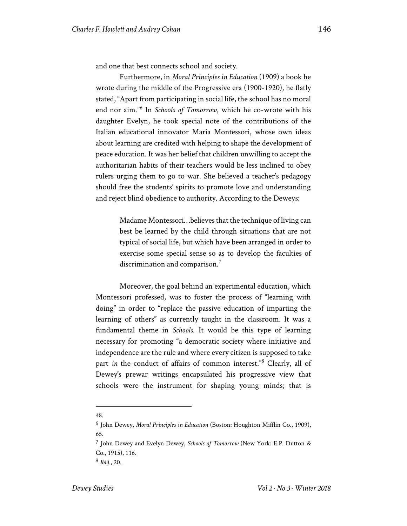and one that best connects school and society.

Furthermore, in *Moral Principles in Education* (1909) a book he wrote during the middle of the Progressive era (1900-1920), he flatly stated, "Apart from participating in social life, the school has no moral end nor aim."<sup>6</sup> In *Schools of Tomorrow*, which he co-wrote with his daughter Evelyn, he took special note of the contributions of the Italian educational innovator Maria Montessori, whose own ideas about learning are credited with helping to shape the development of peace education. It was her belief that children unwilling to accept the authoritarian habits of their teachers would be less inclined to obey rulers urging them to go to war. She believed a teacher's pedagogy should free the students' spirits to promote love and understanding and reject blind obedience to authority. According to the Deweys:

> Madame Montessori…believes that the technique of living can best be learned by the child through situations that are not typical of social life, but which have been arranged in order to exercise some special sense so as to develop the faculties of discrimination and comparison. $^7$

Moreover, the goal behind an experimental education, which Montessori professed, was to foster the process of "learning with doing" in order to "replace the passive education of imparting the learning of others" as currently taught in the classroom. It was a fundamental theme in *Schools*. It would be this type of learning necessary for promoting "a democratic society where initiative and independence are the rule and where every citizen is supposed to take part *in* the conduct of affairs of common interest."<sup>8</sup> Clearly, all of Dewey's prewar writings encapsulated his progressive view that schools were the instrument for shaping young minds; that is

 $\overline{\phantom{a}}$ 48.

<sup>6</sup> John Dewey, *Moral Principles in Education* (Boston: Houghton Mifflin Co., 1909), 65.

<sup>7</sup> John Dewey and Evelyn Dewey, *Schools of Tomorrow* (New York: E.P. Dutton & Co., 1915), 116.

<sup>8</sup> *Ibid*., 20.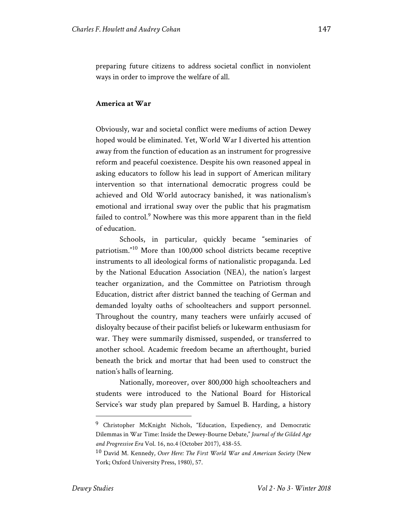preparing future citizens to address societal conflict in nonviolent ways in order to improve the welfare of all.

## **America at War**

Obviously, war and societal conflict were mediums of action Dewey hoped would be eliminated. Yet, World War I diverted his attention away from the function of education as an instrument for progressive reform and peaceful coexistence. Despite his own reasoned appeal in asking educators to follow his lead in support of American military intervention so that international democratic progress could be achieved and Old World autocracy banished, it was nationalism's emotional and irrational sway over the public that his pragmatism failed to control.<sup>9</sup> Nowhere was this more apparent than in the field of education.

Schools, in particular, quickly became "seminaries of patriotism."<sup>10</sup> More than 100,000 school districts became receptive instruments to all ideological forms of nationalistic propaganda. Led by the National Education Association (NEA), the nation's largest teacher organization, and the Committee on Patriotism through Education, district after district banned the teaching of German and demanded loyalty oaths of schoolteachers and support personnel. Throughout the country, many teachers were unfairly accused of disloyalty because of their pacifist beliefs or lukewarm enthusiasm for war. They were summarily dismissed, suspended, or transferred to another school. Academic freedom became an afterthought, buried beneath the brick and mortar that had been used to construct the nation's halls of learning.

Nationally, moreover, over 800,000 high schoolteachers and students were introduced to the National Board for Historical Service's war study plan prepared by Samuel B. Harding, a history

<sup>&</sup>lt;sup>9</sup> Christopher McKnight Nichols, "Education, Expediency, and Democratic Dilemmas in War Time: Inside the Dewey-Bourne Debate," *Journal of the Gilded Age and Progressive Era* Vol. 16, no.4 (October 2017), 438-55.

<sup>10</sup> David M. Kennedy, *Over Here: The First World War and American Society* (New York; Oxford University Press, 1980), 57.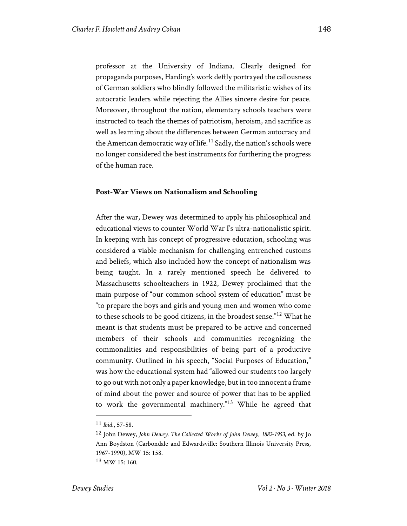professor at the University of Indiana. Clearly designed for propaganda purposes, Harding's work deftly portrayed the callousness of German soldiers who blindly followed the militaristic wishes of its autocratic leaders while rejecting the Allies sincere desire for peace. Moreover, throughout the nation, elementary schools teachers were instructed to teach the themes of patriotism, heroism, and sacrifice as well as learning about the differences between German autocracy and the American democratic way of life.<sup>11</sup> Sadly, the nation's schools were no longer considered the best instruments for furthering the progress of the human race.

#### **Post-War Views on Nationalism and Schooling**

After the war, Dewey was determined to apply his philosophical and educational views to counter World War I's ultra-nationalistic spirit. In keeping with his concept of progressive education, schooling was considered a viable mechanism for challenging entrenched customs and beliefs, which also included how the concept of nationalism was being taught. In a rarely mentioned speech he delivered to Massachusetts schoolteachers in 1922, Dewey proclaimed that the main purpose of "our common school system of education" must be "to prepare the boys and girls and young men and women who come to these schools to be good citizens, in the broadest sense."<sup>12</sup> What he meant is that students must be prepared to be active and concerned members of their schools and communities recognizing the commonalities and responsibilities of being part of a productive community. Outlined in his speech, "Social Purposes of Education," was how the educational system had "allowed our students too largely to go out with not only a paper knowledge, but in too innocent a frame of mind about the power and source of power that has to be applied to work the governmental machinery."<sup>13</sup> While he agreed that

 <sup>11</sup> *Ibid*., 57-58.

<sup>12</sup> John Dewey, *John Dewey. The Collected Works of John Dewey, 1882-1953*, ed. by Jo Ann Boydston (Carbondale and Edwardsville: Southern Illinois University Press, 1967-1990), MW 15: 158.

 $13$  MW  $15 \cdot 160$ .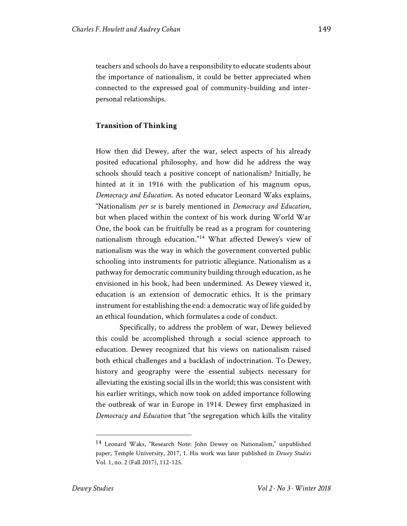teachers and schools do have a responsibility to educate students about the importance of nationalism, it could be better appreciated when connected to the expressed goal of community-building and interpersonal relationships.

## **Transition of Thinking**

How then did Dewey, after the war, select aspects of his already posited educational philosophy, and how did he address the way schools should teach a positive concept of nationalism? Initially, he hinted at it in 1916 with the publication of his magnum opus, *Democracy and Education*. As noted educator Leonard Waks explains, "Nationalism *per se* is barely mentioned in *Democracy and Education*, but when placed within the context of his work during World War One, the book can be fruitfully be read as a program for countering nationalism through education."<sup>14</sup> What affected Dewey's view of nationalism was the way in which the government converted public schooling into instruments for patriotic allegiance. Nationalism as a pathway for democratic community building through education, as he envisioned in his book, had been undermined. As Dewey viewed it, education is an extension of democratic ethics. It is the primary instrument for establishing the end: a democratic way of life guided by an ethical foundation, which formulates a code of conduct.

Specifically, to address the problem of war, Dewey believed this could be accomplished through a social science approach to education. Dewey recognized that his views on nationalism raised both ethical challenges and a backlash of indoctrination. To Dewey, history and geography were the essential subjects necessary for alleviating the existing social ills in the world; this was consistent with his earlier writings, which now took on added importance following the outbreak of war in Europe in 1914. Dewey first emphasized in *Democracy and Education* that "the segregation which kills the vitality

 <sup>14</sup> Leonard Waks, "Research Note: John Dewey on Nationalism," unpublished paper, Temple University, 2017, 1. His work was later published in *Dewey Studies* Vol. 1, no. 2 (Fall 2017), 112-125.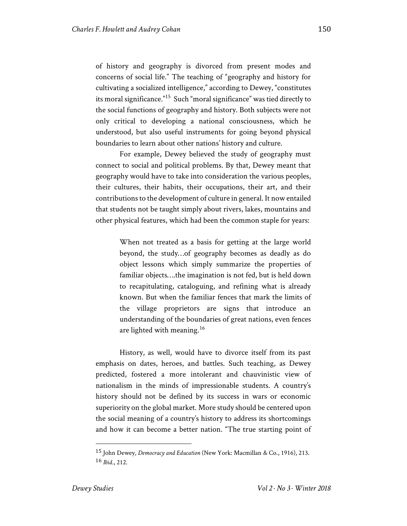of history and geography is divorced from present modes and concerns of social life." The teaching of "geography and history for cultivating a socialized intelligence," according to Dewey, "constitutes its moral significance."15 Such "moral significance" was tied directly to the social functions of geography and history. Both subjects were not only critical to developing a national consciousness, which he understood, but also useful instruments for going beyond physical boundaries to learn about other nations' history and culture.

For example, Dewey believed the study of geography must connect to social and political problems. By that, Dewey meant that geography would have to take into consideration the various peoples, their cultures, their habits, their occupations, their art, and their contributions to the development of culture in general. It now entailed that students not be taught simply about rivers, lakes, mountains and other physical features, which had been the common staple for years:

> When not treated as a basis for getting at the large world beyond, the study…of geography becomes as deadly as do object lessons which simply summarize the properties of familiar objects….the imagination is not fed, but is held down to recapitulating, cataloguing, and refining what is already known. But when the familiar fences that mark the limits of the village proprietors are signs that introduce an understanding of the boundaries of great nations, even fences are lighted with meaning.<sup>16</sup>

History, as well, would have to divorce itself from its past emphasis on dates, heroes, and battles. Such teaching, as Dewey predicted, fostered a more intolerant and chauvinistic view of nationalism in the minds of impressionable students. A country's history should not be defined by its success in wars or economic superiority on the global market. More study should be centered upon the social meaning of a country's history to address its shortcomings and how it can become a better nation. "The true starting point of

 <sup>15</sup> John Dewey, *Democracy and Education* (New York: Macmillan & Co., 1916), 213. <sup>16</sup> *Ibid*., 212.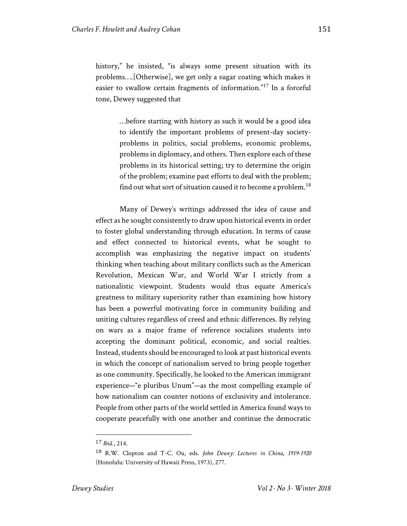history," he insisted, "is always some present situation with its problems….[Otherwise], we get only a sugar coating which makes it easier to swallow certain fragments of information."<sup>17</sup> In a forceful tone, Dewey suggested that

> …before starting with history as such it would be a good idea to identify the important problems of present-day societyproblems in politics, social problems, economic problems, problems in diplomacy, and others. Then explore each of these problems in its historical setting; try to determine the origin of the problem; examine past efforts to deal with the problem; find out what sort of situation caused it to become a problem.<sup>18</sup>

Many of Dewey's writings addressed the idea of cause and effect as he sought consistently to draw upon historical events in order to foster global understanding through education. In terms of cause and effect connected to historical events, what he sought to accomplish was emphasizing the negative impact on students' thinking when teaching about military conflicts such as the American Revolution, Mexican War, and World War I strictly from a nationalistic viewpoint. Students would thus equate America's greatness to military superiority rather than examining how history has been a powerful motivating force in community building and uniting cultures regardless of creed and ethnic differences. By relying on wars as a major frame of reference socializes students into accepting the dominant political, economic, and social realties. Instead, students should be encouraged to look at past historical events in which the concept of nationalism served to bring people together as one community. Specifically, he looked to the American immigrant experience—"e pluribus Unum"—as the most compelling example of how nationalism can counter notions of exclusivity and intolerance. People from other parts of the world settled in America found ways to cooperate peacefully with one another and continue the democratic

 <sup>17</sup> *Ibid*., 214.

<sup>18</sup> R.W. Clopton and T-C. Ou, eds. *John Dewey: Lectures in China, 1919-1920* (Honolulu: University of Hawaii Press, 1973), 277.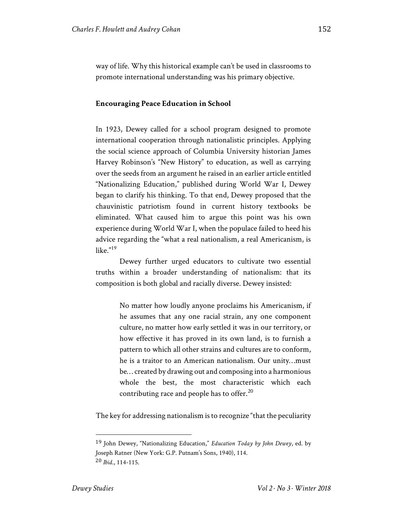## **Encouraging Peace Education in School**

In 1923, Dewey called for a school program designed to promote international cooperation through nationalistic principles. Applying the social science approach of Columbia University historian James Harvey Robinson's "New History" to education, as well as carrying over the seeds from an argument he raised in an earlier article entitled "Nationalizing Education," published during World War I, Dewey began to clarify his thinking. To that end, Dewey proposed that the chauvinistic patriotism found in current history textbooks be eliminated. What caused him to argue this point was his own experience during World War I, when the populace failed to heed his advice regarding the "what a real nationalism, a real Americanism, is like."<sup>19</sup>

Dewey further urged educators to cultivate two essential truths within a broader understanding of nationalism: that its composition is both global and racially diverse. Dewey insisted:

> No matter how loudly anyone proclaims his Americanism, if he assumes that any one racial strain, any one component culture, no matter how early settled it was in our territory, or how effective it has proved in its own land, is to furnish a pattern to which all other strains and cultures are to conform, he is a traitor to an American nationalism. Our unity…must be… created by drawing out and composing into a harmonious whole the best, the most characteristic which each contributing race and people has to offer. $^{20}$

The key for addressing nationalism is to recognize "that the peculiarity

 <sup>19</sup> John Dewey, "Nationalizing Education," *Education Today by John Dewey*, ed. by Joseph Ratner (New York: G.P. Putnam's Sons, 1940), 114. <sup>20</sup> *Ibid*., 114-115.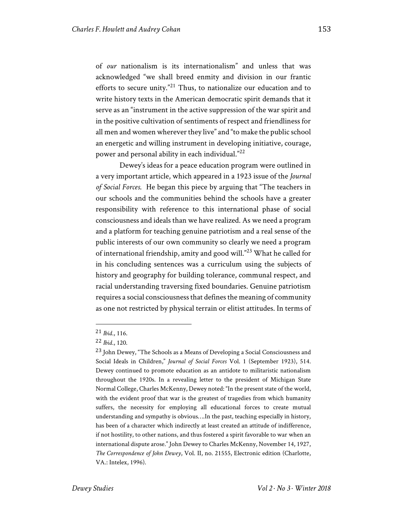of *our* nationalism is its internationalism" and unless that was acknowledged "we shall breed enmity and division in our frantic efforts to secure unity."<sup>21</sup> Thus, to nationalize our education and to write history texts in the American democratic spirit demands that it serve as an "instrument in the active suppression of the war spirit and in the positive cultivation of sentiments of respect and friendliness for all men and women wherever they live" and "to make the public school an energetic and willing instrument in developing initiative, courage, power and personal ability in each individual."<sup>22</sup>

Dewey's ideas for a peace education program were outlined in a very important article, which appeared in a 1923 issue of the *Journal of Social Forces*. He began this piece by arguing that "The teachers in our schools and the communities behind the schools have a greater responsibility with reference to this international phase of social consciousness and ideals than we have realized. As we need a program and a platform for teaching genuine patriotism and a real sense of the public interests of our own community so clearly we need a program of international friendship, amity and good will."<sup>23</sup> What he called for in his concluding sentences was a curriculum using the subjects of history and geography for building tolerance, communal respect, and racial understanding traversing fixed boundaries. Genuine patriotism requires a social consciousness that defines the meaning of community as one not restricted by physical terrain or elitist attitudes. In terms of

 <sup>21</sup> *Ibid*., 116.

<sup>22</sup> *Ibid*., 120.

<sup>&</sup>lt;sup>23</sup> John Dewey, "The Schools as a Means of Developing a Social Consciousness and Social Ideals in Children," *Journal of Social Forces* Vol. 1 (September 1923), 514. Dewey continued to promote education as an antidote to militaristic nationalism throughout the 1920s. In a revealing letter to the president of Michigan State Normal College, Charles McKenny, Dewey noted: "In the present state of the world, with the evident proof that war is the greatest of tragedies from which humanity suffers, the necessity for employing all educational forces to create mutual understanding and sympathy is obvious….In the past, teaching especially in history, has been of a character which indirectly at least created an attitude of indifference, if not hostility, to other nations, and thus fostered a spirit favorable to war when an international dispute arose." John Dewey to Charles McKenny, November 14, 1927, *The Correspondence of John Dewey*, Vol. II, no. 21555, Electronic edition (Charlotte, VA.: Intelex, 1996).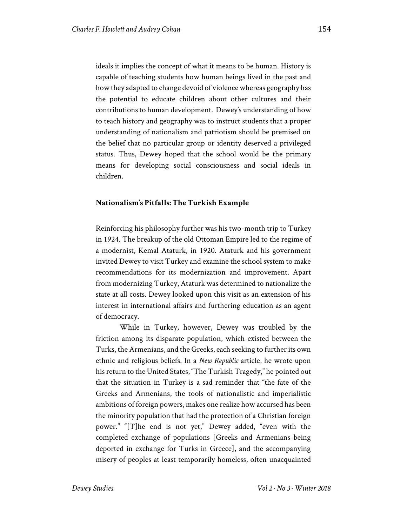ideals it implies the concept of what it means to be human. History is capable of teaching students how human beings lived in the past and how they adapted to change devoid of violence whereas geography has the potential to educate children about other cultures and their contributions to human development. Dewey's understanding of how to teach history and geography was to instruct students that a proper understanding of nationalism and patriotism should be premised on the belief that no particular group or identity deserved a privileged status. Thus, Dewey hoped that the school would be the primary means for developing social consciousness and social ideals in children.

#### **Nationalism's Pitfalls: The Turkish Example**

Reinforcing his philosophy further was his two-month trip to Turkey in 1924. The breakup of the old Ottoman Empire led to the regime of a modernist, Kemal Ataturk, in 1920. Ataturk and his government invited Dewey to visit Turkey and examine the school system to make recommendations for its modernization and improvement. Apart from modernizing Turkey, Ataturk was determined to nationalize the state at all costs. Dewey looked upon this visit as an extension of his interest in international affairs and furthering education as an agent of democracy.

While in Turkey, however, Dewey was troubled by the friction among its disparate population, which existed between the Turks, the Armenians, and the Greeks, each seeking to further its own ethnic and religious beliefs. In a *New Republic* article, he wrote upon his return to the United States, "The Turkish Tragedy," he pointed out that the situation in Turkey is a sad reminder that "the fate of the Greeks and Armenians, the tools of nationalistic and imperialistic ambitions of foreign powers, makes one realize how accursed has been the minority population that had the protection of a Christian foreign power." "[T]he end is not yet," Dewey added, "even with the completed exchange of populations [Greeks and Armenians being deported in exchange for Turks in Greece], and the accompanying misery of peoples at least temporarily homeless, often unacquainted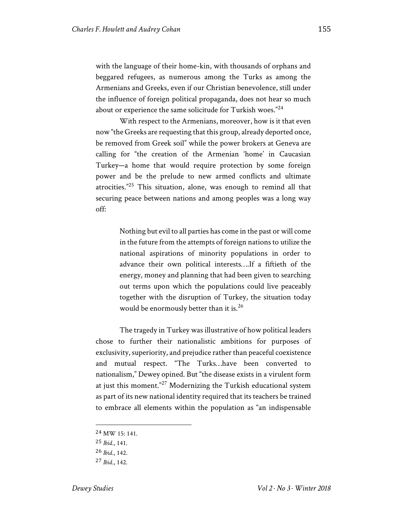with the language of their home-kin, with thousands of orphans and beggared refugees, as numerous among the Turks as among the Armenians and Greeks, even if our Christian benevolence, still under the influence of foreign political propaganda, does not hear so much about or experience the same solicitude for Turkish woes." $24$ 

With respect to the Armenians, moreover, how is it that even now "the Greeks are requesting that this group, already deported once, be removed from Greek soil" while the power brokers at Geneva are calling for "the creation of the Armenian 'home' in Caucasian Turkey—a home that would require protection by some foreign power and be the prelude to new armed conflicts and ultimate atrocities."<sup>25</sup> This situation, alone, was enough to remind all that securing peace between nations and among peoples was a long way off:

> Nothing but evil to all parties has come in the past or will come in the future from the attempts of foreign nations to utilize the national aspirations of minority populations in order to advance their own political interests….If a fiftieth of the energy, money and planning that had been given to searching out terms upon which the populations could live peaceably together with the disruption of Turkey, the situation today would be enormously better than it is.<sup>26</sup>

The tragedy in Turkey was illustrative of how political leaders chose to further their nationalistic ambitions for purposes of exclusivity, superiority, and prejudice rather than peaceful coexistence and mutual respect. "The Turks…have been converted to nationalism," Dewey opined. But "the disease exists in a virulent form at just this moment." $27$  Modernizing the Turkish educational system as part of its new national identity required that its teachers be trained to embrace all elements within the population as "an indispensable

 <sup>24</sup> MW 15: 141.

<sup>25</sup> *Ibid*., 141.

<sup>26</sup> *Ibid*., 142.

<sup>27</sup> *Ibid*., 142.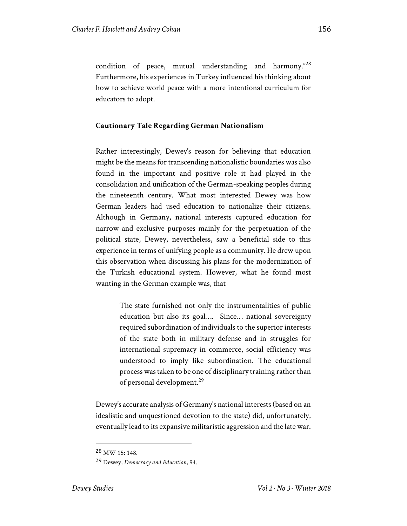condition of peace, mutual understanding and harmony."<sup>28</sup> Furthermore, his experiences in Turkey influenced his thinking about how to achieve world peace with a more intentional curriculum for educators to adopt.

## **Cautionary Tale Regarding German Nationalism**

Rather interestingly, Dewey's reason for believing that education might be the means for transcending nationalistic boundaries was also found in the important and positive role it had played in the consolidation and unification of the German-speaking peoples during the nineteenth century. What most interested Dewey was how German leaders had used education to nationalize their citizens. Although in Germany, national interests captured education for narrow and exclusive purposes mainly for the perpetuation of the political state, Dewey, nevertheless, saw a beneficial side to this experience in terms of unifying people as a community. He drew upon this observation when discussing his plans for the modernization of the Turkish educational system. However, what he found most wanting in the German example was, that

> The state furnished not only the instrumentalities of public education but also its goal…. Since… national sovereignty required subordination of individuals to the superior interests of the state both in military defense and in struggles for international supremacy in commerce, social efficiency was understood to imply like subordination. The educational process was taken to be one of disciplinary training rather than of personal development.<sup>29</sup>

Dewey's accurate analysis of Germany's national interests (based on an idealistic and unquestioned devotion to the state) did, unfortunately, eventually lead to its expansive militaristic aggression and the late war.

 <sup>28</sup> MW 15: 148.

<sup>29</sup> Dewey, *Democracy and Education*, 94.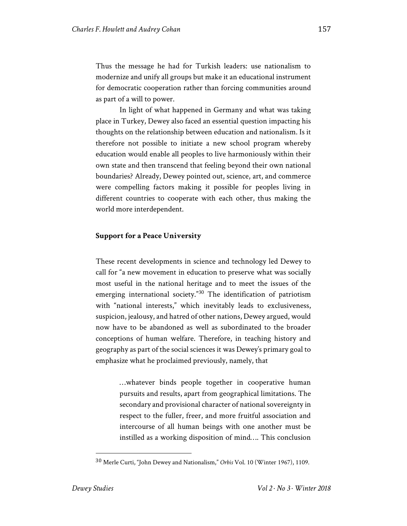Thus the message he had for Turkish leaders: use nationalism to modernize and unify all groups but make it an educational instrument for democratic cooperation rather than forcing communities around as part of a will to power.

In light of what happened in Germany and what was taking place in Turkey, Dewey also faced an essential question impacting his thoughts on the relationship between education and nationalism. Is it therefore not possible to initiate a new school program whereby education would enable all peoples to live harmoniously within their own state and then transcend that feeling beyond their own national boundaries? Already, Dewey pointed out, science, art, and commerce were compelling factors making it possible for peoples living in different countries to cooperate with each other, thus making the world more interdependent.

#### **Support for a Peace University**

These recent developments in science and technology led Dewey to call for "a new movement in education to preserve what was socially most useful in the national heritage and to meet the issues of the emerging international society."<sup>30</sup> The identification of patriotism with "national interests," which inevitably leads to exclusiveness, suspicion, jealousy, and hatred of other nations, Dewey argued, would now have to be abandoned as well as subordinated to the broader conceptions of human welfare. Therefore, in teaching history and geography as part of the social sciences it was Dewey's primary goal to emphasize what he proclaimed previously, namely, that

> …whatever binds people together in cooperative human pursuits and results, apart from geographical limitations. The secondary and provisional character of national sovereignty in respect to the fuller, freer, and more fruitful association and intercourse of all human beings with one another must be instilled as a working disposition of mind…. This conclusion

 <sup>30</sup> Merle Curti, "John Dewey and Nationalism," *Orbis* Vol. 10 (Winter 1967), 1109.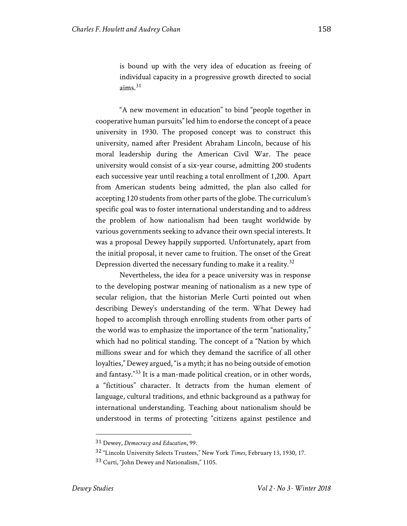is bound up with the very idea of education as freeing of individual capacity in a progressive growth directed to social  $aims.<sup>31</sup>$ 

"A new movement in education" to bind "people together in cooperative human pursuits" led him to endorse the concept of a peace university in 1930. The proposed concept was to construct this university, named after President Abraham Lincoln, because of his moral leadership during the American Civil War. The peace university would consist of a six-year course, admitting 200 students each successive year until reaching a total enrollment of 1,200. Apart from American students being admitted, the plan also called for accepting 120 students from other parts of the globe. The curriculum's specific goal was to foster international understanding and to address the problem of how nationalism had been taught worldwide by various governments seeking to advance their own special interests. It was a proposal Dewey happily supported. Unfortunately, apart from the initial proposal, it never came to fruition. The onset of the Great Depression diverted the necessary funding to make it a reality.<sup>32</sup>

Nevertheless, the idea for a peace university was in response to the developing postwar meaning of nationalism as a new type of secular religion, that the historian Merle Curti pointed out when describing Dewey's understanding of the term. What Dewey had hoped to accomplish through enrolling students from other parts of the world was to emphasize the importance of the term "nationality," which had no political standing. The concept of a "Nation by which millions swear and for which they demand the sacrifice of all other loyalties," Dewey argued, "is a myth; it has no being outside of emotion and fantasy.<sup>"33</sup> It is a man-made political creation, or in other words, a "fictitious" character. It detracts from the human element of language, cultural traditions, and ethnic background as a pathway for international understanding. Teaching about nationalism should be understood in terms of protecting "citizens against pestilence and

 <sup>31</sup> Dewey, *Democracy and Education*, 99.

<sup>32</sup> "Lincoln University Selects Trustees," New York *Times*, February 13, 1930, 17.

<sup>33</sup> Curti, "John Dewey and Nationalism," 1105.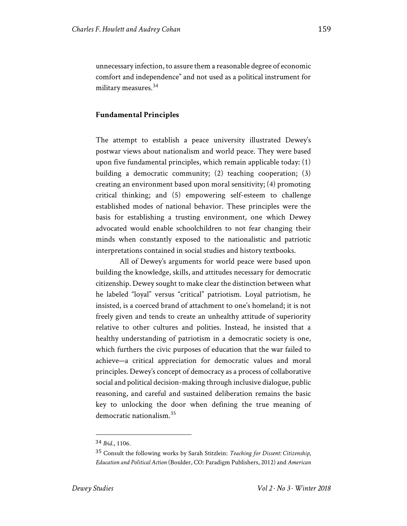unnecessary infection, to assure them a reasonable degree of economic comfort and independence" and not used as a political instrument for military measures.<sup>34</sup>

## **Fundamental Principles**

The attempt to establish a peace university illustrated Dewey's postwar views about nationalism and world peace. They were based upon five fundamental principles, which remain applicable today: (1) building a democratic community; (2) teaching cooperation; (3) creating an environment based upon moral sensitivity; (4) promoting critical thinking; and (5) empowering self-esteem to challenge established modes of national behavior. These principles were the basis for establishing a trusting environment, one which Dewey advocated would enable schoolchildren to not fear changing their minds when constantly exposed to the nationalistic and patriotic interpretations contained in social studies and history textbooks.

All of Dewey's arguments for world peace were based upon building the knowledge, skills, and attitudes necessary for democratic citizenship. Dewey sought to make clear the distinction between what he labeled "loyal" versus "critical" patriotism. Loyal patriotism, he insisted, is a coerced brand of attachment to one's homeland; it is not freely given and tends to create an unhealthy attitude of superiority relative to other cultures and polities. Instead, he insisted that a healthy understanding of patriotism in a democratic society is one, which furthers the civic purposes of education that the war failed to achieve—a critical appreciation for democratic values and moral principles. Dewey's concept of democracy as a process of collaborative social and political decision-making through inclusive dialogue, public reasoning, and careful and sustained deliberation remains the basic key to unlocking the door when defining the true meaning of democratic nationalism.35

 <sup>34</sup> *Ibid*., 1106.

<sup>35</sup> Consult the following works by Sarah Stitzlein: *Teaching for Dissent: Citizenship, Education and Political Action* (Boulder, CO: Paradigm Publishers, 2012) and *American*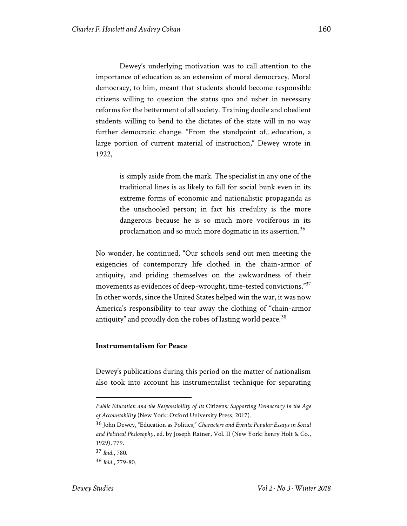Dewey's underlying motivation was to call attention to the importance of education as an extension of moral democracy. Moral democracy, to him, meant that students should become responsible citizens willing to question the status quo and usher in necessary reforms for the betterment of all society. Training docile and obedient students willing to bend to the dictates of the state will in no way further democratic change. "From the standpoint of…education, a large portion of current material of instruction," Dewey wrote in 1922,

> is simply aside from the mark. The specialist in any one of the traditional lines is as likely to fall for social bunk even in its extreme forms of economic and nationalistic propaganda as the unschooled person; in fact his credulity is the more dangerous because he is so much more vociferous in its proclamation and so much more dogmatic in its assertion.<sup>36</sup>

No wonder, he continued, "Our schools send out men meeting the exigencies of contemporary life clothed in the chain-armor of antiquity, and priding themselves on the awkwardness of their movements as evidences of deep-wrought, time-tested convictions."<sup>37</sup> In other words, since the United States helped win the war, it was now America's responsibility to tear away the clothing of "chain-armor antiquity" and proudly don the robes of lasting world peace.<sup>38</sup>

## **Instrumentalism for Peace**

Dewey's publications during this period on the matter of nationalism also took into account his instrumentalist technique for separating

 $\overline{\phantom{a}}$ 

*Public Education and the Responsibility of Its* Citizens*: Supporting Democracy in the Age of Accountability* (New York: Oxford University Press, 2017).

<sup>36</sup> John Dewey, "Education as Politics," *Characters and Events: Popular Essays in Social and Political Philosophy*, ed. by Joseph Ratner, Vol. II (New York: henry Holt & Co., 1929), 779.

<sup>37</sup> *Ibid*., 780.

<sup>38</sup> *Ibid*., 779-80.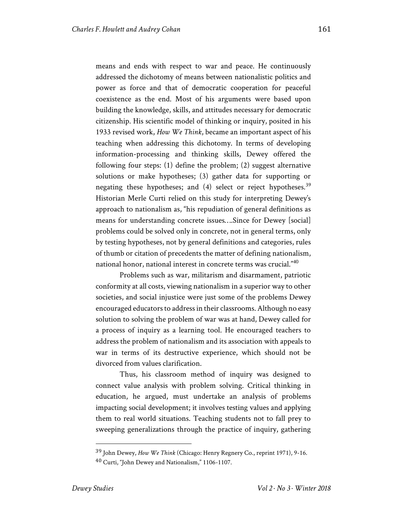means and ends with respect to war and peace. He continuously addressed the dichotomy of means between nationalistic politics and power as force and that of democratic cooperation for peaceful coexistence as the end. Most of his arguments were based upon building the knowledge, skills, and attitudes necessary for democratic citizenship. His scientific model of thinking or inquiry, posited in his 1933 revised work, *How We Think*, became an important aspect of his teaching when addressing this dichotomy. In terms of developing information-processing and thinking skills, Dewey offered the following four steps: (1) define the problem; (2) suggest alternative solutions or make hypotheses; (3) gather data for supporting or negating these hypotheses; and  $(4)$  select or reject hypotheses.<sup>39</sup> Historian Merle Curti relied on this study for interpreting Dewey's approach to nationalism as, "his repudiation of general definitions as means for understanding concrete issues….Since for Dewey [social] problems could be solved only in concrete, not in general terms, only by testing hypotheses, not by general definitions and categories, rules of thumb or citation of precedents the matter of defining nationalism, national honor, national interest in concrete terms was crucial."40

Problems such as war, militarism and disarmament, patriotic conformity at all costs, viewing nationalism in a superior way to other societies, and social injustice were just some of the problems Dewey encouraged educators to address in their classrooms. Although no easy solution to solving the problem of war was at hand, Dewey called for a process of inquiry as a learning tool. He encouraged teachers to address the problem of nationalism and its association with appeals to war in terms of its destructive experience, which should not be divorced from values clarification.

Thus, his classroom method of inquiry was designed to connect value analysis with problem solving. Critical thinking in education, he argued, must undertake an analysis of problems impacting social development; it involves testing values and applying them to real world situations. Teaching students not to fall prey to sweeping generalizations through the practice of inquiry, gathering

 <sup>39</sup> John Dewey, *How We Think* (Chicago: Henry Regnery Co., reprint 1971), 9-16. <sup>40</sup> Curti, "John Dewey and Nationalism," 1106-1107.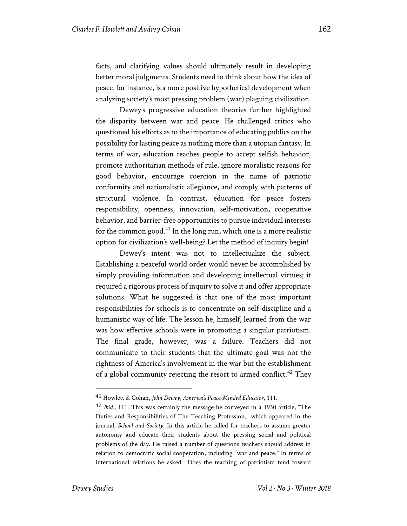facts, and clarifying values should ultimately result in developing better moral judgments. Students need to think about how the idea of peace, for instance, is a more positive hypothetical development when analyzing society's most pressing problem (war) plaguing civilization.

Dewey's progressive education theories further highlighted the disparity between war and peace. He challenged critics who questioned his efforts as to the importance of educating publics on the possibility for lasting peace as nothing more than a utopian fantasy. In terms of war, education teaches people to accept selfish behavior, promote authoritarian methods of rule, ignore moralistic reasons for good behavior, encourage coercion in the name of patriotic conformity and nationalistic allegiance, and comply with patterns of structural violence. In contrast, education for peace fosters responsibility, openness, innovation, self-motivation, cooperative behavior, and barrier-free opportunities to pursue individual interests for the common good.<sup>41</sup> In the long run, which one is a more realistic option for civilization's well-being? Let the method of inquiry begin!

Dewey's intent was not to intellectualize the subject. Establishing a peaceful world order would never be accomplished by simply providing information and developing intellectual virtues; it required a rigorous process of inquiry to solve it and offer appropriate solutions. What he suggested is that one of the most important responsibilities for schools is to concentrate on self-discipline and a humanistic way of life. The lesson he, himself, learned from the war was how effective schools were in promoting a singular patriotism. The final grade, however, was a failure. Teachers did not communicate to their students that the ultimate goal was not the rightness of America's involvement in the war but the establishment of a global community rejecting the resort to armed conflict.<sup>42</sup> They

 <sup>41</sup> Howlett & Cohan, *John Dewey, America's Peace-Minded Educator*, 111.

<sup>42</sup> *Ibid*., 111. This was certainly the message he conveyed in a 1930 article, "The Duties and Responsibilities of The Teaching Profession," which appeared in the journal, *School and Society*. In this article he called for teachers to assume greater autonomy and educate their students about the pressing social and political problems of the day. He raised a number of questions teachers should address in relation to democratic social cooperation, including "war and peace." In terms of international relations he asked: "Does the teaching of patriotism tend toward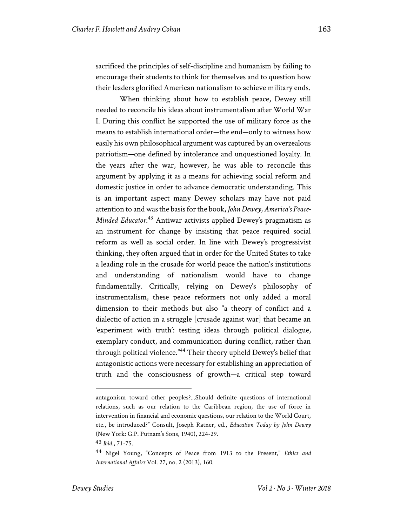sacrificed the principles of self-discipline and humanism by failing to encourage their students to think for themselves and to question how their leaders glorified American nationalism to achieve military ends.

When thinking about how to establish peace, Dewey still needed to reconcile his ideas about instrumentalism after World War I. During this conflict he supported the use of military force as the means to establish international order—the end—only to witness how easily his own philosophical argument was captured by an overzealous patriotism—one defined by intolerance and unquestioned loyalty. In the years after the war, however, he was able to reconcile this argument by applying it as a means for achieving social reform and domestic justice in order to advance democratic understanding. This is an important aspect many Dewey scholars may have not paid attention to and was the basis for the book, *John Dewey, America's Peace-Minded Educator*. <sup>43</sup> Antiwar activists applied Dewey's pragmatism as an instrument for change by insisting that peace required social reform as well as social order. In line with Dewey's progressivist thinking, they often argued that in order for the United States to take a leading role in the crusade for world peace the nation's institutions and understanding of nationalism would have to change fundamentally. Critically, relying on Dewey's philosophy of instrumentalism, these peace reformers not only added a moral dimension to their methods but also "a theory of conflict and a dialectic of action in a struggle [crusade against war] that became an 'experiment with truth': testing ideas through political dialogue, exemplary conduct, and communication during conflict, rather than through political violence."<sup>44</sup> Their theory upheld Dewey's belief that antagonistic actions were necessary for establishing an appreciation of truth and the consciousness of growth—a critical step toward

 $\overline{\phantom{a}}$ 

antagonism toward other peoples?...Should definite questions of international relations, such as our relation to the Caribbean region, the use of force in intervention in financial and economic questions, our relation to the World Court, etc., be introduced?" Consult, Joseph Ratner, ed., *Education Today by John Dewey* (New York: G.P. Putnam's Sons, 1940), 224-29.

<sup>43</sup> *Ibid*., 71-75.

<sup>44</sup> Nigel Young, "Concepts of Peace from 1913 to the Present," *Ethics and International Affairs* Vol. 27, no. 2 (2013), 160.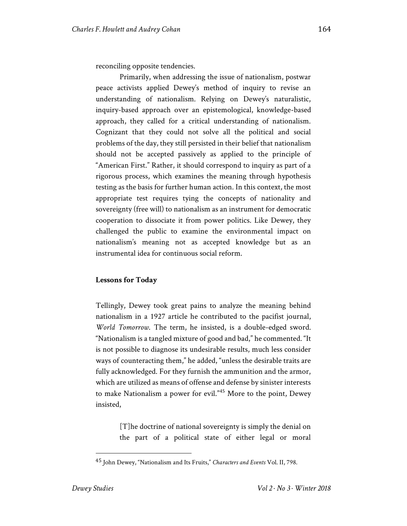reconciling opposite tendencies.

Primarily, when addressing the issue of nationalism, postwar peace activists applied Dewey's method of inquiry to revise an understanding of nationalism. Relying on Dewey's naturalistic, inquiry-based approach over an epistemological, knowledge-based approach, they called for a critical understanding of nationalism. Cognizant that they could not solve all the political and social problems of the day, they still persisted in their belief that nationalism should not be accepted passively as applied to the principle of "American First." Rather, it should correspond to inquiry as part of a rigorous process, which examines the meaning through hypothesis testing as the basis for further human action. In this context, the most appropriate test requires tying the concepts of nationality and sovereignty (free will) to nationalism as an instrument for democratic cooperation to dissociate it from power politics. Like Dewey, they challenged the public to examine the environmental impact on nationalism's meaning not as accepted knowledge but as an instrumental idea for continuous social reform.

#### **Lessons for Today**

Tellingly, Dewey took great pains to analyze the meaning behind nationalism in a 1927 article he contributed to the pacifist journal, *World Tomorrow*. The term, he insisted, is a double-edged sword. "Nationalism is a tangled mixture of good and bad," he commented. "It is not possible to diagnose its undesirable results, much less consider ways of counteracting them," he added, "unless the desirable traits are fully acknowledged. For they furnish the ammunition and the armor, which are utilized as means of offense and defense by sinister interests to make Nationalism a power for evil."<sup>45</sup> More to the point, Dewey insisted,

> [T]he doctrine of national sovereignty is simply the denial on the part of a political state of either legal or moral

 <sup>45</sup> John Dewey, "Nationalism and Its Fruits," *Characters and Events* Vol. II, 798.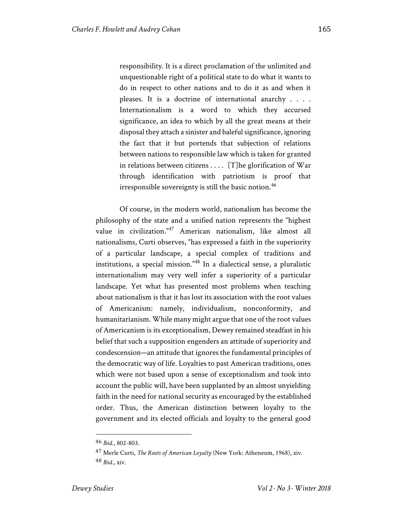responsibility. It is a direct proclamation of the unlimited and unquestionable right of a political state to do what it wants to do in respect to other nations and to do it as and when it pleases. It is a doctrine of international anarchy . . . . Internationalism is a word to which they accursed significance, an idea to which by all the great means at their disposal they attach a sinister and baleful significance, ignoring the fact that it but portends that subjection of relations between nations to responsible law which is taken for granted in relations between citizens . . . . [T]he glorification of War through identification with patriotism is proof that irresponsible sovereignty is still the basic notion.<sup>46</sup>

Of course, in the modern world, nationalism has become the philosophy of the state and a unified nation represents the "highest value in civilization."<sup>47</sup> American nationalism, like almost all nationalisms, Curti observes, "has expressed a faith in the superiority of a particular landscape, a special complex of traditions and institutions, a special mission."<sup>48</sup> In a dialectical sense, a pluralistic internationalism may very well infer a superiority of a particular landscape. Yet what has presented most problems when teaching about nationalism is that it has lost its association with the root values of Americanism: namely, individualism, nonconformity, and humanitarianism. While many might argue that one of the root values of Americanism is its exceptionalism, Dewey remained steadfast in his belief that such a supposition engenders an attitude of superiority and condescension—an attitude that ignores the fundamental principles of the democratic way of life. Loyalties to past American traditions, ones which were not based upon a sense of exceptionalism and took into account the public will, have been supplanted by an almost unyielding faith in the need for national security as encouraged by the established order. Thus, the American distinction between loyalty to the government and its elected officials and loyalty to the general good

 <sup>46</sup> *Ibid*., 802-803.

<sup>47</sup> Merle Curti, *The Roots of American Loyalty* (New York: Atheneum, 1968), xiv. <sup>48</sup> *Ibid*., xiv.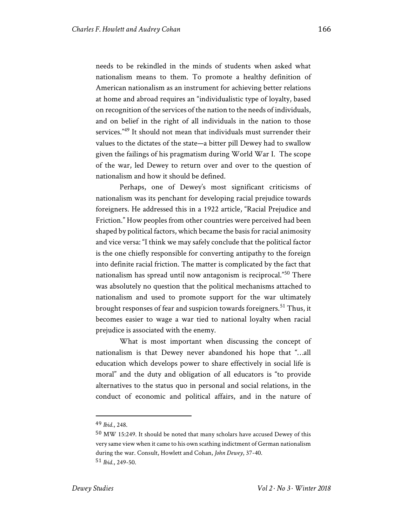needs to be rekindled in the minds of students when asked what nationalism means to them. To promote a healthy definition of American nationalism as an instrument for achieving better relations at home and abroad requires an "individualistic type of loyalty, based on recognition of the services of the nation to the needs of individuals, and on belief in the right of all individuals in the nation to those services."<sup>49</sup> It should not mean that individuals must surrender their values to the dictates of the state—a bitter pill Dewey had to swallow given the failings of his pragmatism during World War I. The scope of the war, led Dewey to return over and over to the question of nationalism and how it should be defined.

Perhaps, one of Dewey's most significant criticisms of nationalism was its penchant for developing racial prejudice towards foreigners. He addressed this in a 1922 article, "Racial Prejudice and Friction." How peoples from other countries were perceived had been shaped by political factors, which became the basis for racial animosity and vice versa: "I think we may safely conclude that the political factor is the one chiefly responsible for converting antipathy to the foreign into definite racial friction. The matter is complicated by the fact that nationalism has spread until now antagonism is reciprocal."<sup>50</sup> There was absolutely no question that the political mechanisms attached to nationalism and used to promote support for the war ultimately brought responses of fear and suspicion towards foreigners.<sup>51</sup> Thus, it becomes easier to wage a war tied to national loyalty when racial prejudice is associated with the enemy.

What is most important when discussing the concept of nationalism is that Dewey never abandoned his hope that "…all education which develops power to share effectively in social life is moral" and the duty and obligation of all educators is "to provide alternatives to the status quo in personal and social relations, in the conduct of economic and political affairs, and in the nature of

 <sup>49</sup> *Ibid*., 248.

<sup>50</sup> MW 15:249. It should be noted that many scholars have accused Dewey of this very same view when it came to his own scathing indictment of German nationalism during the war. Consult, Howlett and Cohan, *John Dewey*, 37-40. <sup>51</sup> *Ibid*., 249-50.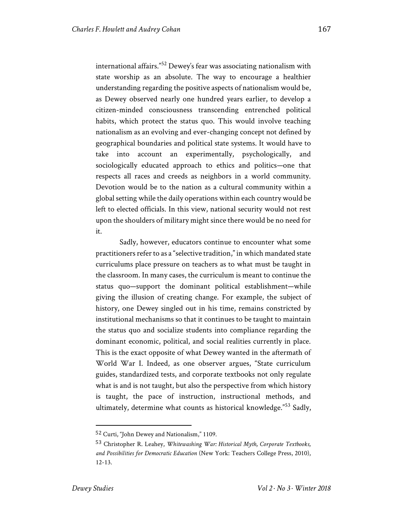international affairs."<sup>52</sup> Dewey's fear was associating nationalism with state worship as an absolute. The way to encourage a healthier understanding regarding the positive aspects of nationalism would be, as Dewey observed nearly one hundred years earlier, to develop a citizen-minded consciousness transcending entrenched political habits, which protect the status quo. This would involve teaching nationalism as an evolving and ever-changing concept not defined by geographical boundaries and political state systems. It would have to take into account an experimentally, psychologically, and sociologically educated approach to ethics and politics—one that respects all races and creeds as neighbors in a world community. Devotion would be to the nation as a cultural community within a global setting while the daily operations within each country would be left to elected officials. In this view, national security would not rest upon the shoulders of military might since there would be no need for

it.

Sadly, however, educators continue to encounter what some practitioners refer to as a "selective tradition," in which mandated state curriculums place pressure on teachers as to what must be taught in the classroom. In many cases, the curriculum is meant to continue the status quo—support the dominant political establishment—while giving the illusion of creating change. For example, the subject of history, one Dewey singled out in his time, remains constricted by institutional mechanisms so that it continues to be taught to maintain the status quo and socialize students into compliance regarding the dominant economic, political, and social realities currently in place. This is the exact opposite of what Dewey wanted in the aftermath of World War I. Indeed, as one observer argues, "State curriculum guides, standardized tests, and corporate textbooks not only regulate what is and is not taught, but also the perspective from which history is taught, the pace of instruction, instructional methods, and ultimately, determine what counts as historical knowledge."<sup>53</sup> Sadly,

 <sup>52</sup> Curti, "John Dewey and Nationalism," 1109.

<sup>53</sup> Christopher R. Leahey, *Whitewashing War: Historical Myth, Corporate Textbooks, and Possibilities for Democratic Education* (New York: Teachers College Press, 2010), 12-13.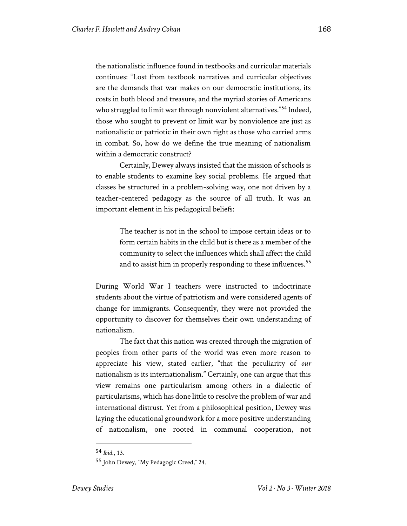the nationalistic influence found in textbooks and curricular materials continues: "Lost from textbook narratives and curricular objectives are the demands that war makes on our democratic institutions, its costs in both blood and treasure, and the myriad stories of Americans who struggled to limit war through nonviolent alternatives."<sup>54</sup> Indeed, those who sought to prevent or limit war by nonviolence are just as nationalistic or patriotic in their own right as those who carried arms in combat. So, how do we define the true meaning of nationalism within a democratic construct?

Certainly, Dewey always insisted that the mission of schools is to enable students to examine key social problems. He argued that classes be structured in a problem-solving way, one not driven by a teacher-centered pedagogy as the source of all truth. It was an important element in his pedagogical beliefs:

> The teacher is not in the school to impose certain ideas or to form certain habits in the child but is there as a member of the community to select the influences which shall affect the child and to assist him in properly responding to these influences.<sup>55</sup>

During World War I teachers were instructed to indoctrinate students about the virtue of patriotism and were considered agents of change for immigrants. Consequently, they were not provided the opportunity to discover for themselves their own understanding of nationalism.

The fact that this nation was created through the migration of peoples from other parts of the world was even more reason to appreciate his view, stated earlier, "that the peculiarity of *our* nationalism is its internationalism." Certainly, one can argue that this view remains one particularism among others in a dialectic of particularisms, which has done little to resolve the problem of war and international distrust. Yet from a philosophical position, Dewey was laying the educational groundwork for a more positive understanding of nationalism, one rooted in communal cooperation, not

 <sup>54</sup> *Ibid*., 13.

<sup>55</sup> John Dewey, "My Pedagogic Creed," 24.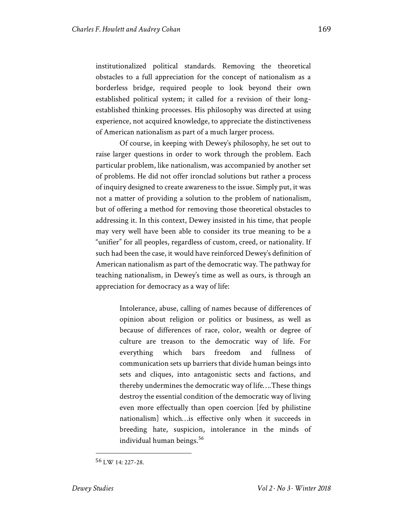institutionalized political standards. Removing the theoretical obstacles to a full appreciation for the concept of nationalism as a borderless bridge, required people to look beyond their own established political system; it called for a revision of their longestablished thinking processes. His philosophy was directed at using experience, not acquired knowledge, to appreciate the distinctiveness of American nationalism as part of a much larger process.

Of course, in keeping with Dewey's philosophy, he set out to raise larger questions in order to work through the problem. Each particular problem, like nationalism, was accompanied by another set of problems. He did not offer ironclad solutions but rather a process of inquiry designed to create awareness to the issue. Simply put, it was not a matter of providing a solution to the problem of nationalism, but of offering a method for removing those theoretical obstacles to addressing it. In this context, Dewey insisted in his time, that people may very well have been able to consider its true meaning to be a "unifier" for all peoples, regardless of custom, creed, or nationality. If such had been the case, it would have reinforced Dewey's definition of American nationalism as part of the democratic way. The pathway for teaching nationalism, in Dewey's time as well as ours, is through an appreciation for democracy as a way of life:

> Intolerance, abuse, calling of names because of differences of opinion about religion or politics or business, as well as because of differences of race, color, wealth or degree of culture are treason to the democratic way of life. For everything which bars freedom and fullness of communication sets up barriers that divide human beings into sets and cliques, into antagonistic sects and factions, and thereby undermines the democratic way of life….These things destroy the essential condition of the democratic way of living even more effectually than open coercion [fed by philistine nationalism] which…is effective only when it succeeds in breeding hate, suspicion, intolerance in the minds of individual human beings.<sup>56</sup>

 <sup>56</sup> LW 14: 227-28.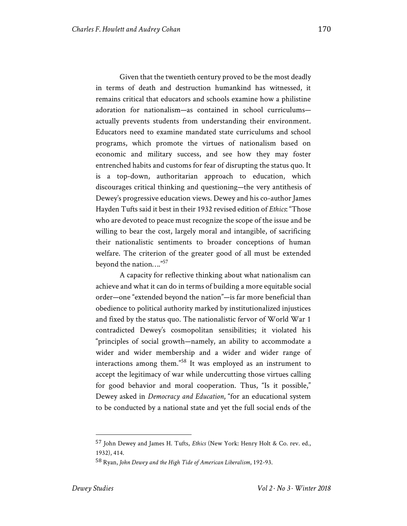Given that the twentieth century proved to be the most deadly in terms of death and destruction humankind has witnessed, it remains critical that educators and schools examine how a philistine adoration for nationalism—as contained in school curriculums actually prevents students from understanding their environment. Educators need to examine mandated state curriculums and school programs, which promote the virtues of nationalism based on economic and military success, and see how they may foster entrenched habits and customs for fear of disrupting the status quo. It is a top-down, authoritarian approach to education, which discourages critical thinking and questioning—the very antithesis of Dewey's progressive education views. Dewey and his co-author James Hayden Tufts said it best in their 1932 revised edition of *Ethics*: "Those who are devoted to peace must recognize the scope of the issue and be willing to bear the cost, largely moral and intangible, of sacrificing their nationalistic sentiments to broader conceptions of human welfare. The criterion of the greater good of all must be extended beyond the nation…."57

A capacity for reflective thinking about what nationalism can achieve and what it can do in terms of building a more equitable social order—one "extended beyond the nation"—is far more beneficial than obedience to political authority marked by institutionalized injustices and fixed by the status quo. The nationalistic fervor of World War 1 contradicted Dewey's cosmopolitan sensibilities; it violated his "principles of social growth—namely, an ability to accommodate a wider and wider membership and a wider and wider range of interactions among them."<sup>58</sup> It was employed as an instrument to accept the legitimacy of war while undercutting those virtues calling for good behavior and moral cooperation. Thus, "Is it possible," Dewey asked in *Democracy and Education*, "for an educational system to be conducted by a national state and yet the full social ends of the

 <sup>57</sup> John Dewey and James H. Tufts, *Ethics* (New York: Henry Holt & Co. rev. ed., 1932), 414.

<sup>58</sup> Ryan, *John Dewey and the High Tide of American Liberalism*, 192-93.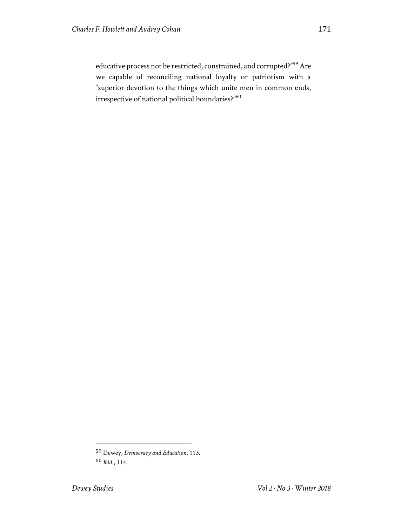educative process not be restricted, constrained, and corrupted?"<sup>59</sup> Are we capable of reconciling national loyalty or patriotism with a "superior devotion to the things which unite men in common ends, irrespective of national political boundaries?"<br/> $\!^{n60}$ 

 <sup>59</sup> Dewey, *Democracy and Education*, 113. <sup>60</sup> *Ibid*., 114.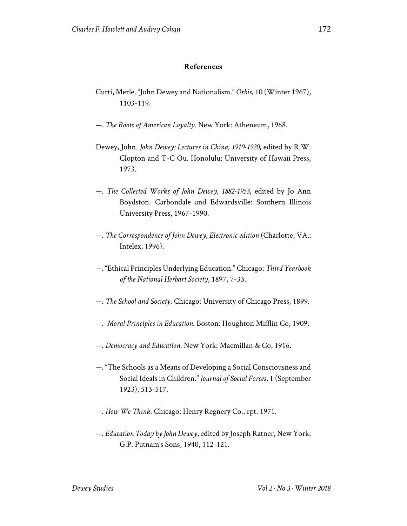## **References**

- Curti, Merle. "John Dewey and Nationalism." *Orbis*, 10 (Winter 1967), 1103-119.
- —. *The Roots of American Loyalty*. New York: Atheneum, 1968.
- Dewey, John. *John Dewey: Lectures in China, 1919-1920*, edited by R.W. Clopton and T-C Ou. Honolulu: University of Hawaii Press, 1973.
- —. *The Collected Works of John Dewey, 1882-1953*, edited by Jo Ann Boydston. Carbondale and Edwardsville: Southern Illinois University Press, 1967-1990.
- —. *The Correspondence of John Dewey, Electronic edition* (Charlotte, VA.: Intelex, 1996).
- —. "Ethical Principles Underlying Education." Chicago: *Third Yearbook of the National Herbart Society*, 1897, 7-33.
- —. *The School and Society*. Chicago: University of Chicago Press, 1899.
- —. *Moral Principles in Education*. Boston: Houghton Mifflin Co, 1909.
- —. *Democracy and Education*. New York: Macmillan & Co, 1916.
- —. "The Schools as a Means of Developing a Social Consciousness and Social Ideals in Children." *Journal of Social Forces*, 1 (September 1923), 513-517.
- —. *How We Think*. Chicago: Henry Regnery Co., rpt. 1971.
- —. *Education Today by John Dewey*, edited by Joseph Ratner, New York: G.P. Putnam's Sons, 1940, 112-121.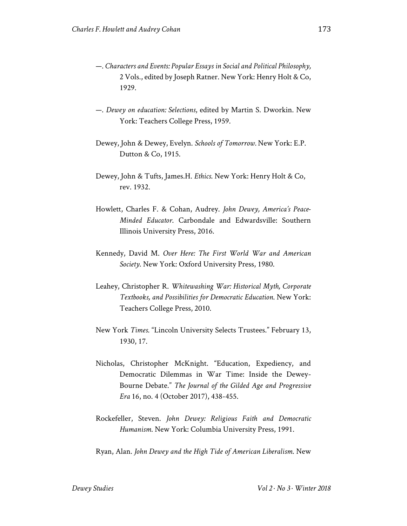- —. *Characters and Events: Popular Essays in Social and Political Philosophy,*  2 Vols., edited by Joseph Ratner. New York: Henry Holt & Co, 1929.
- —. *Dewey on education: Selections*, edited by Martin S. Dworkin. New York: Teachers College Press, 1959.
- Dewey, John & Dewey, Evelyn. *Schools of Tomorrow.* New York: E.P. Dutton & Co, 1915.
- Dewey, John & Tufts, James.H. *Ethics*. New York: Henry Holt & Co, rev. 1932.
- Howlett, Charles F. & Cohan, Audrey. *John Dewey, America's Peace-Minded Educator*. Carbondale and Edwardsville: Southern Illinois University Press, 2016.
- Kennedy, David M. *Over Here: The First World War and American Society*. New York: Oxford University Press, 1980.
- Leahey, Christopher R. *Whitewashing War: Historical Myth, Corporate Textbooks, and Possibilities for Democratic Education*. New York: Teachers College Press, 2010.
- New York *Times*. "Lincoln University Selects Trustees." February 13, 1930, 17.
- Nicholas, Christopher McKnight. "Education, Expediency, and Democratic Dilemmas in War Time: Inside the Dewey-Bourne Debate." *The Journal of the Gilded Age and Progressive Era* 16, no. 4 (October 2017), 438-455.
- Rockefeller, Steven. *John Dewey: Religious Faith and Democratic Humanism*. New York: Columbia University Press, 1991.

Ryan, Alan. *John Dewey and the High Tide of American Liberalism*. New